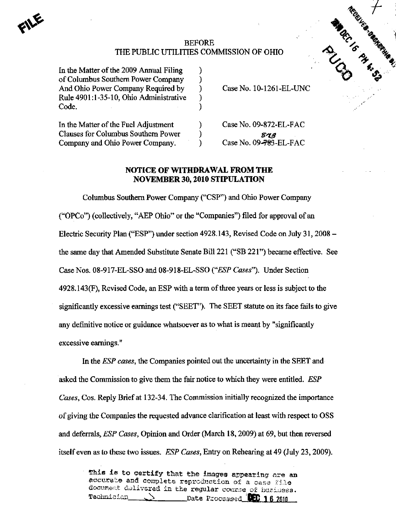## BEFORE TIES COMMISSION OF OHIO CONTRACTORY COMMISSION THE PUBLIC UTILITIES COMMISSION OF OHIO

In the Matter of the  $2009$  Annual Filing of Columbus Southern Power Company () And Ohio Power Company Required by Case No. 10-1261-EL-UNC Rule 4901:1-35-10, Ohio Administrative )  $\text{Code.}$  . The code  $\Box$  is the contract of  $\Box$  is the contract of  $\Box$  is the contract of  $\Box$ 

In the Matter of the Fuel Adjustment (a) Case No. 09-872-EL-FAC Clauses for Columbus Southern Power )  $\mathcal{S}49$ Company and Ohio Power Company. (Case No. 09-783-EL-FAC

## NOTICE OF WITHDRAWAL FROM THE NOVEMBER 30,2010 STIPULATION

Columbus Southem Power Company ("CSP") and Ohio Power Company ("OPCo") (collectively, "AEP Ohio" or the "Companies") filed for approval of an Electric Security Plan ("ESP") under section 4928.143, Revised Code on July 31,2008 the same day that Amended Substitute Senate Bill 221 ("SB 221") became effective. See Case Nos. 08-917-EL-SSO and 08-918-EL-SSO ("ESP Cases"). Under Section 4928.143(F), Revised Code, an ESP with a term of three years or less is subject to the significantly excessive earnings test ("SEET"). The SEET statute on its face fails to give any definitive notice or guidance whatsoever as to what is meant by "significantly excessive eamings."

In the *ESP cases*, the Companies pointed out the uncertainty in the SEET and asked the Commission to give them the fair notice to which they were entitled. ESP Cases, Cos. Reply Brief at 132-34. The Commission initially recognized the importance of giving the Companies the requested advance clarification at least with respect to OSS and deferrals, ESP Cases, Opinion and Order (March 18,2009) at 69, but then reversed itself even as to these two issues. ESP Cases, Entry on Rehearing at 49 (July 23,2009).

> This is to certify that the images appearing are an accurate and complets reproduction of a case file document delivered in the regular course of business.<br>Technician - () bate Processed **BFC 1.6 2016** Date Processed **DEC 16 7010**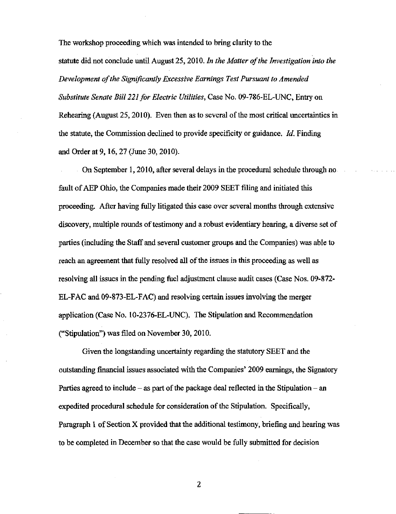The workshop proceeding which was intended to bring clarity to the statute did not conclude until August 25, 2010. In the Matter of the Investigation into the Development of the Significantly Excessive Earnings Test Pursuant to Amended Substitute Senate Bill 221 for Electric Utilities, Case No. 09-786-EL-UNC, Entry on Rehearing (August 25, 2010). Even then as to several of the most critical uncertainties in the statute, the Commission declined to provide specificity or guidance. Id. Finding and Order at 9,16,27 (June 30,2010).

On September 1,2010, after several delays in the procedural schedule through no fault of AEP Ohio, the Companies made their 2009 SEET filing and initiated this proceeding. After having fully litigated this case over several months through extensive discovery, multiple rounds of testimony and a robust evidentiary hearing, a diverse set of parties (including the Staff and several customer groups and the Companies) was able to reach an agreement that fully resolved all of the issues in this proceeding as well as resolving all issues in the pending fuel adjustment clause audit cases (Case Nos. 09-872- EL-FAC and 09-873-EL-FAC) and resolving certain issues involving the merger application (Case No. 10-2376-EL-UNC). The Stipulation and Recommendation ("Stipulation") was filed on November 30,2010.

Given the longstanding uncertainty regarding the statutory SEET and the outstanding financial issues associated with the Companies' 2009 earnings, die Signatory Parties agreed to include  $-$  as part of the package deal reflected in the Stipulation  $-$  an expedited procedural schedule for consideration of the Stipulation. Specifically, Paragraph 1 of Section X provided that the additional testimony, briefing and hearing was to be completed in December so that the case would be fully submitted for decision

 $\boldsymbol{2}$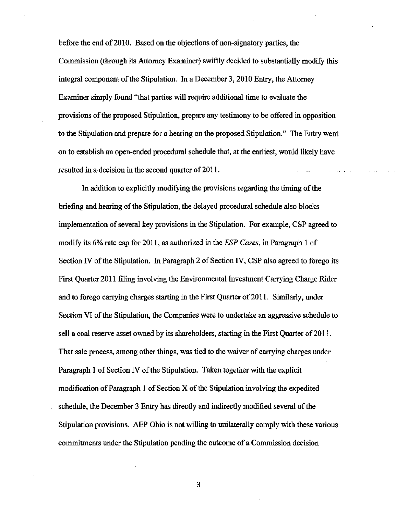before the end of 2010. Based on the objections of non-signatory parties, the Commission (through its Attomey Examiner) swiftly decided to substantially modify this integral component of the Stipulation. In a December 3, 2010 Entry, the Attorney Examiner simply found "that parties will require additional time to evaluate the provisions of the proposed Stipulation, prepare any testimony to be offered in opposition to the Stipulation and prepare for a hearing on the proposed Stipulation." The Entry went on to establish an open-ended procedural schedule that, at the earliest, would likely have resulted in a decision in the second quarter of 2011.

In addition to explicitly modifying the provisions regarding the timing of the briefing and hearing ofthe Stipulation, the delayed procedural schedule also blocks implementation of several key provisions in the Stipulation. For example, CSP agreed to modify its 6% rate cap for 2011, as authorized in the *ESP Cases*, in Paragraph 1 of Section IV of the Stipulation. In Paragraph 2 of Section IV, CSP also agreed to forego its First Quarter 2011 filing involving the Environmental Investment Carrying Charge Rider and to forego carrying charges starting in the First Quarter of 2011. Similarly, imder Section VI of the Stipulation, the Companies were to undertake an aggressive schedule to sell a coal reserve asset owned by its shareholders, starting in the First Quarter of 2011. That sale process, among other things, was tied to the waiver of carrying charges under Paragraph 1 of Section IV of the Stipulation. Taken together with the explicit modification of Paragraph 1 of Section  $X$  of the Stipulation involving the expedited schedule, the December 3 Entry has directly and indirectly modified several of the Stipulation provisions. AEP Ohio is not willing to unilaterally comply with these various commitments under the Stipulation pending the outcome of a Commission decision

3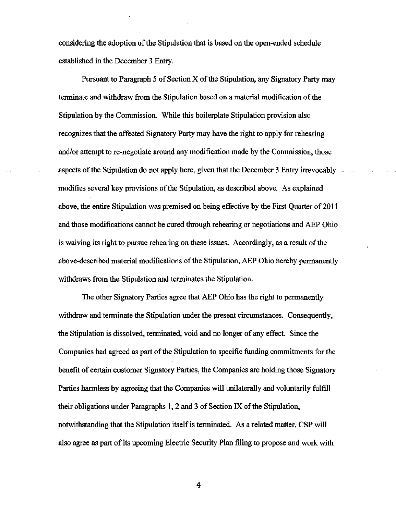considering the adoption of the Stipulation that is based on the open-ended schedule established in the December 3 Entry.

Pursuant to Paragraph 5 of Section X of the Stipulation, any Signatory Party may terminate and withdraw from the Stipulation based on a material modification of the Stipulation by the Commission. While this boilerplate Stipulation provision also recognizes that the affected Signatory Party may have the right to apply for rehearing and/or attempt to re-negotiate around any modification made by the Commission, those aspects of die Stipidation do not apply here, given that the December 3 Entry irrevocably modifies several key provisions of the Stipulation, as described above. As explained above, the entire Stipulation was premised on being effective by the First Quarter of 2011 and those modifications cannot be cured through rehearing or negotiations and AEP Ohio is waiving its right to pursue rehearing on these issues. Accordingly, as a result of the above-described material modifications of the Stipulation, AEP Ohio hereby permanently withdraws from the Stipulation and terminates the Stipulation.

The other Signatory Parties agree that AEP Ohio has the right to permanently withdraw and terminate the Stipulation under the present circumstances. Consequently, the Stipulation is dissolved, terminated, void and no longer of any effect. Since the Companies had agreed as part of the Stipulation to specific funding commitments for the benefit of certam customer Signatory Parties, the Companies are holding those Signatory Parties harmless by agreeing that the Companies will unilaterally and voluntarily fulfill their obligations under Paragraphs  $1, 2$  and  $3$  of Section IX of the Stipulation, notwithstanding that the Stipulation itself is terminated. As a related matter, CSP will also agree as part of its upcoming Electric Security Plan filing to propose and work with

4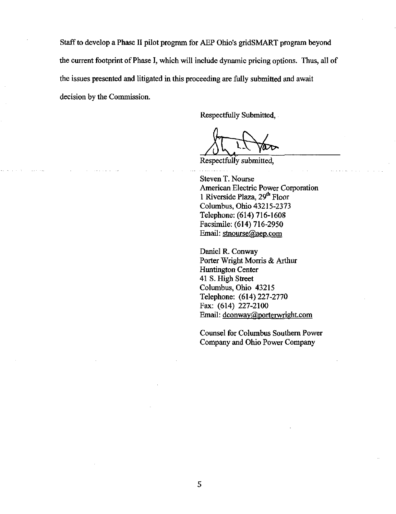Staff to develop a Phase II pilot program for AEP Ohio's gridSMART program beyond the current footprint of Phase I, which will include dynamic pricing options. Thus, all of the issues presented and litigated in this proceeding are fully submitted and await decision by the Commission.

Respectfully Submitted,

Respectfully submitted.

Steven T. Nourse American Electric Power Corporation 1 Riverside Plaza, 29<sup>th</sup> Floor Columbus, Ohio 43215-2373 Telephone: (614) 716-1608 Facsimile: (614) 716-2950 Email: [stnourse@aep.com](mailto:stnourse@aep.com) 

Daniel R. Conway Porter Wright Morris & Arthur Huntington Center 41 S. High Street Columbus, Ohio 43215 Telephone: (614) 227-2770 Fax: (614) 227-2100 Email: [dconwav@porterwright.com](mailto:dconwav@porterwright.com)

Counsel for Columbus Southem Power Company and Ohio Power Company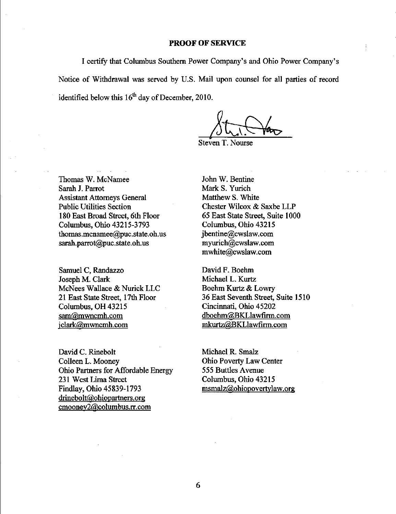## PROOF OF SERVICE

I certify that Columbus Southem Power Company's and Ohio Power Company's Notice of Withdrawal was served by U.S. Mail upon counsel for all parties of record identified below this  $16<sup>th</sup>$  day of December, 2010.

 $8t$ 

Steven T. Nourse

Thomas W. McNamee Sarah J. Parrot Assistant Attomeys General Public Utilities Section 180 East Broad Street, 6th Floor Columbus, Ohio 43215-3793 [thomas.mcnamee@puc.state.oh.us](mailto:thomas.mcnamee@puc.state.oh.us)  [sarah.parrot@puc.state.oh.us](mailto:sarah.parrot@puc.state.oh.us) 

Samuel C, Randazzo Joseph M. Clark McNees Wallace & Nurick LLC 21 East State Street, 17th Floor Columbus, OH 43215 [sam@mwncmh.com](mailto:sam@mwncmh.com)  iclark@mwncmh.com

David C. Rinebolt Colleen L. Mooney Ohio Partners for Affordable Energy 231 West Lima Street Findlay, Ohio 45839-1793 [drinebolt@ohiopartners.org](mailto:drinebolt@ohiopartners.org)  [cmooney2@colimibus.rr.com](mailto:cmooney2@colimibus.rr.com) 

John W. Bentine Mark S. Yurich Matthew S. White Chester Wilcox & Saxbe LLP 65 East State Street, Suite 1000 Columbus, Ohio 43215 [jbentine@cwslaw.com](mailto:jbentine@cwslaw.com)  [myurich@cwslaw.com](mailto:myurich@cwslaw.com)  [mwhite@cwslaw.com](mailto:mwhite@cwslaw.com) 

David F. Boehm Michael L. Kurtz Boehm Kurtz & Lowry 36 East Seventh Street, Suite 1510 Cincinnati, Ohio 45202 dboehm@BKLlawfirm.com [mkurtz@BKLlawfirm.com](mailto:mkurtz@BKLlawfirm.com) 

Michael R. Smalz Ohio Poverty Law Center 555 Buttles Avenue Columbus, Ohio 43215 [msmalz@Qhiopovertvlaw.org](mailto:msmalz@Qhiopovertvlaw.org)